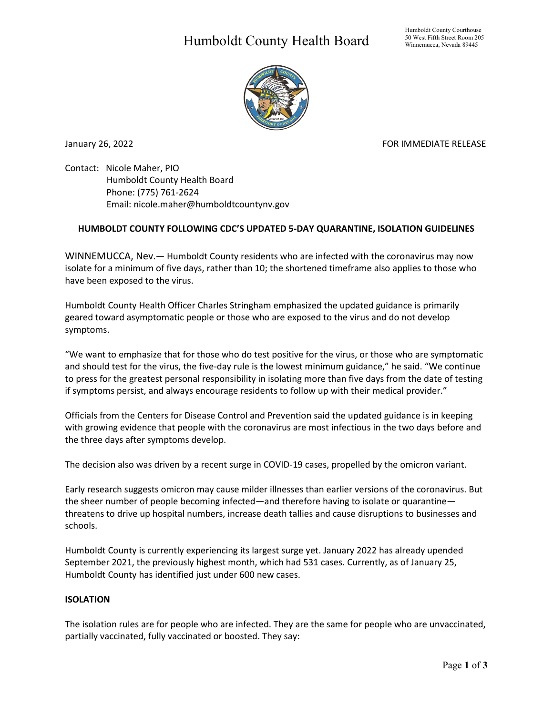## Humboldt County Health Board



January 26, 2022 **FOR IMMEDIATE RELEASE** 

Contact: Nicole Maher, PIO Humboldt County Health Board Phone: (775) 761-2624 Email: nicole.maher@humboldtcountynv.gov

## **HUMBOLDT COUNTY FOLLOWING CDC'S UPDATED 5-DAY QUARANTINE, ISOLATION GUIDELINES**

WINNEMUCCA, Nev.— Humboldt County residents who are infected with the coronavirus may now isolate for a minimum of five days, rather than 10; the shortened timeframe also applies to those who have been exposed to the virus.

Humboldt County Health Officer Charles Stringham emphasized the updated guidance is primarily geared toward asymptomatic people or those who are exposed to the virus and do not develop symptoms.

"We want to emphasize that for those who do test positive for the virus, or those who are symptomatic and should test for the virus, the five-day rule is the lowest minimum guidance," he said. "We continue to press for the greatest personal responsibility in isolating more than five days from the date of testing if symptoms persist, and always encourage residents to follow up with their medical provider."

Officials from the Centers for Disease Control and Prevention said the updated guidance is in keeping with growing evidence that people with the coronavirus are most infectious in the two days before and the three days after symptoms develop.

The decision also was driven by a recent surge in COVID-19 cases, propelled by the omicron variant.

Early research suggests omicron may cause milder illnesses than earlier versions of the coronavirus. But the sheer number of people becoming infected—and therefore having to isolate or quarantine threatens to drive up hospital numbers, increase death tallies and cause disruptions to businesses and schools.

Humboldt County is currently experiencing its largest surge yet. January 2022 has already upended September 2021, the previously highest month, which had 531 cases. Currently, as of January 25, Humboldt County has identified just under 600 new cases.

## **ISOLATION**

The isolation rules are for people who are infected. They are the same for people who are unvaccinated, partially vaccinated, fully vaccinated or boosted. They say: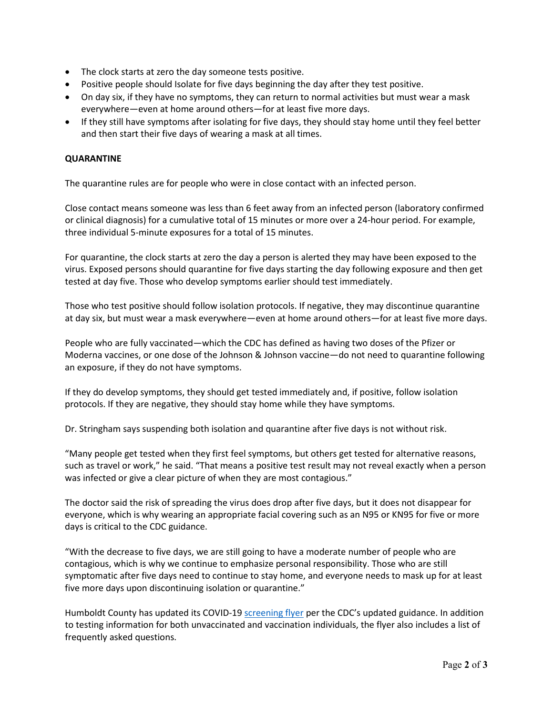- The clock starts at zero the day someone tests positive.
- Positive people should Isolate for five days beginning the day after they test positive.
- On day six, if they have no symptoms, they can return to normal activities but must wear a mask everywhere—even at home around others—for at least five more days.
- If they still have symptoms after isolating for five days, they should stay home until they feel better and then start their five days of wearing a mask at all times.

## **QUARANTINE**

The quarantine rules are for people who were in close contact with an infected person.

Close contact means someone was less than 6 feet away from an infected person (laboratory confirmed or clinical diagnosis) for a cumulative total of 15 minutes or more over a 24-hour period. For example, three individual 5-minute exposures for a total of 15 minutes.

For quarantine, the clock starts at zero the day a person is alerted they may have been exposed to the virus. Exposed persons should quarantine for five days starting the day following exposure and then get tested at day five. Those who develop symptoms earlier should test immediately.

Those who test positive should follow isolation protocols. If negative, they may discontinue quarantine at day six, but must wear a mask everywhere—even at home around others—for at least five more days.

People who are fully vaccinated—which the CDC has defined as having two doses of the Pfizer or Moderna vaccines, or one dose of the Johnson & Johnson vaccine—do not need to quarantine following an exposure, if they do not have symptoms.

If they do develop symptoms, they should get tested immediately and, if positive, follow isolation protocols. If they are negative, they should stay home while they have symptoms.

Dr. Stringham says suspending both isolation and quarantine after five days is not without risk.

"Many people get tested when they first feel symptoms, but others get tested for alternative reasons, such as travel or work," he said. "That means a positive test result may not reveal exactly when a person was infected or give a clear picture of when they are most contagious."

The doctor said the risk of spreading the virus does drop after five days, but it does not disappear for everyone, which is why wearing an appropriate facial covering such as an N95 or KN95 for five or more days is critical to the CDC guidance.

"With the decrease to five days, we are still going to have a moderate number of people who are contagious, which is why we continue to emphasize personal responsibility. Those who are still symptomatic after five days need to continue to stay home, and everyone needs to mask up for at least five more days upon discontinuing isolation or quarantine."

Humboldt County has updated its COVID-1[9 screening flyer](https://www.humboldtcountynv.gov/DocumentCenter/View/5862/COVID-19-Screening-Flyer0122) per the CDC's updated guidance. In addition to testing information for both unvaccinated and vaccination individuals, the flyer also includes a list of frequently asked questions.